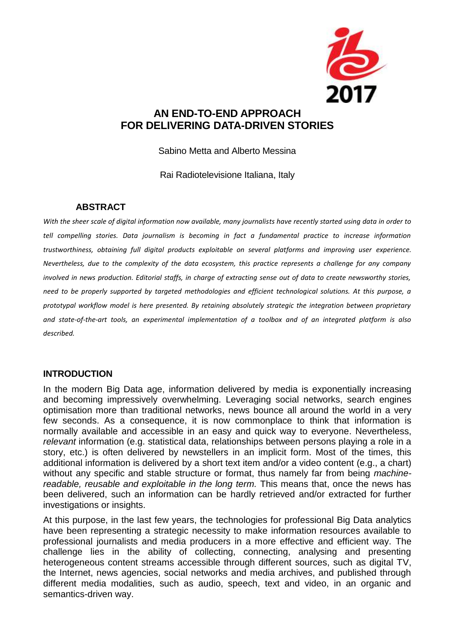

# **AN END-TO-END APPROACH FOR DELIVERING DATA-DRIVEN STORIES**

Sabino Metta and Alberto Messina

Rai Radiotelevisione Italiana, Italy

#### **ABSTRACT**

*With the sheer scale of digital information now available, many journalists have recently started using data in order to tell compelling stories. Data journalism is becoming in fact a fundamental practice to increase information trustworthiness, obtaining full digital products exploitable on several platforms and improving user experience. Nevertheless, due to the complexity of the data ecosystem, this practice represents a challenge for any company involved in news production. Editorial staffs, in charge of extracting sense out of data to create newsworthy stories, need to be properly supported by targeted methodologies and efficient technological solutions. At this purpose, a prototypal workflow model is here presented. By retaining absolutely strategic the integration between proprietary and state-of-the-art tools, an experimental implementation of a toolbox and of an integrated platform is also described.* 

#### **INTRODUCTION**

In the modern Big Data age, information delivered by media is exponentially increasing and becoming impressively overwhelming. Leveraging social networks, search engines optimisation more than traditional networks, news bounce all around the world in a very few seconds. As a consequence, it is now commonplace to think that information is normally available and accessible in an easy and quick way to everyone. Nevertheless, *relevant* information (e.g. statistical data, relationships between persons playing a role in a story, etc.) is often delivered by newstellers in an implicit form. Most of the times, this additional information is delivered by a short text item and/or a video content (e.g., a chart) without any specific and stable structure or format, thus namely far from being *machinereadable, reusable and exploitable in the long term.* This means that, once the news has been delivered, such an information can be hardly retrieved and/or extracted for further investigations or insights.

At this purpose, in the last few years, the technologies for professional Big Data analytics have been representing a strategic necessity to make information resources available to professional journalists and media producers in a more effective and efficient way. The challenge lies in the ability of collecting, connecting, analysing and presenting heterogeneous content streams accessible through different sources, such as digital TV, the Internet, news agencies, social networks and media archives, and published through different media modalities, such as audio, speech, text and video, in an organic and semantics-driven way.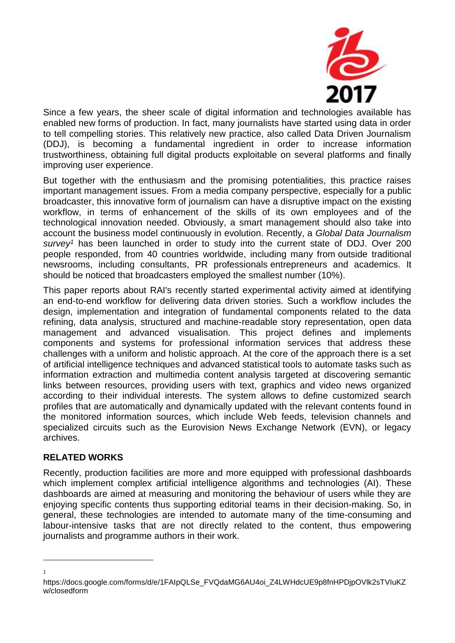

Since a few years, the sheer scale of digital information and technologies available has enabled new forms of production. In fact, many journalists have started using data in order to tell compelling stories. This relatively new practice, also called Data Driven Journalism (DDJ), is becoming a fundamental ingredient in order to increase information trustworthiness, obtaining full digital products exploitable on several platforms and finally improving user experience.

But together with the enthusiasm and the promising potentialities, this practice raises important management issues. From a media company perspective, especially for a public broadcaster, this innovative form of journalism can have a disruptive impact on the existing workflow, in terms of enhancement of the skills of its own employees and of the technological innovation needed. Obviously, a smart management should also take into account the business model continuously in evolution. Recently, a *Global Data Journalism survey<sup>1</sup>* has been launched in order to study into the current state of DDJ. Over 200 people responded, from 40 countries worldwide, including many from outside traditional newsrooms, including consultants, PR professionals entrepreneurs and academics. It should be noticed that broadcasters employed the smallest number (10%).

This paper reports about RAI's recently started experimental activity aimed at identifying an end-to-end workflow for delivering data driven stories. Such a workflow includes the design, implementation and integration of fundamental components related to the data refining, data analysis, structured and machine-readable story representation, open data management and advanced visualisation. This project defines and implements components and systems for professional information services that address these challenges with a uniform and holistic approach. At the core of the approach there is a set of artificial intelligence techniques and advanced statistical tools to automate tasks such as information extraction and multimedia content analysis targeted at discovering semantic links between resources, providing users with text, graphics and video news organized according to their individual interests. The system allows to define customized search profiles that are automatically and dynamically updated with the relevant contents found in the monitored information sources, which include Web feeds, television channels and specialized circuits such as the Eurovision News Exchange Network (EVN), or legacy archives.

### **RELATED WORKS**

1 1

Recently, production facilities are more and more equipped with professional dashboards which implement complex artificial intelligence algorithms and technologies (AI). These dashboards are aimed at measuring and monitoring the behaviour of users while they are enjoying specific contents thus supporting editorial teams in their decision-making. So, in general, these technologies are intended to automate many of the time-consuming and labour-intensive tasks that are not directly related to the content, thus empowering journalists and programme authors in their work.

https://docs.google.com/forms/d/e/1FAIpQLSe\_FVQdaMG6AU4oi\_Z4LWHdcUE9p8fnHPDjpOVlk2sTVIuKZ w/closedform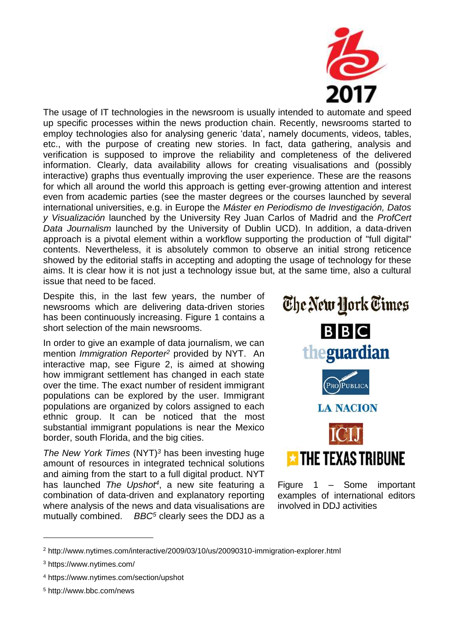

The usage of IT technologies in the newsroom is usually intended to automate and speed up specific processes within the news production chain. Recently, newsrooms started to employ technologies also for analysing generic 'data', namely documents, videos, tables, etc., with the purpose of creating new stories. In fact, data gathering, analysis and verification is supposed to improve the reliability and completeness of the delivered information. Clearly, data availability allows for creating visualisations and (possibly interactive) graphs thus eventually improving the user experience. These are the reasons for which all around the world this approach is getting ever-growing attention and interest even from academic parties (see the master degrees or the courses launched by several international universities, e.g. in Europe the *Máster en Periodismo de Investigación, Datos y Visualización* launched by the University Rey Juan Carlos of Madrid and the *ProfCert Data Journalism* launched by the University of Dublin UCD). In addition, a data-driven approach is a pivotal element within a workflow supporting the production of "full digital" contents. Nevertheless, it is absolutely common to observe an initial strong reticence showed by the editorial staffs in accepting and adopting the usage of technology for these aims. It is clear how it is not just a technology issue but, at the same time, also a cultural issue that need to be faced.

Despite this, in the last few years, the number of newsrooms which are delivering data-driven stories has been continuously increasing. Figure 1 contains a short selection of the main newsrooms.

In order to give an example of data journalism, we can mention *Immigration Reporter<sup>2</sup>* provided by NYT. An interactive map, see Figure 2, is aimed at showing how immigrant settlement has changed in each state over the time. The exact number of resident immigrant populations can be explored by the user. Immigrant populations are organized by colors assigned to each ethnic group. It can be noticed that the most substantial immigrant populations is near the Mexico border, south Florida, and the big cities.

*The New York Times* (NYT)*<sup>3</sup>* has been investing huge amount of resources in integrated technical solutions and aiming from the start to a full digital product. NYT has launched *The Upshot<sup>4</sup>* , a new site featuring a combination of data-driven and explanatory reporting where analysis of the news and data visualisations are mutually combined. *BBC<sup>5</sup>* clearly sees the DDJ as a



Figure 1 – Some important examples of international editors involved in DDJ activities

1

<sup>5</sup> http://www.bbc.com/news

<sup>2</sup> http://www.nytimes.com/interactive/2009/03/10/us/20090310-immigration-explorer.html

<sup>3</sup> https://www.nytimes.com/

<sup>4</sup> https://www.nytimes.com/section/upshot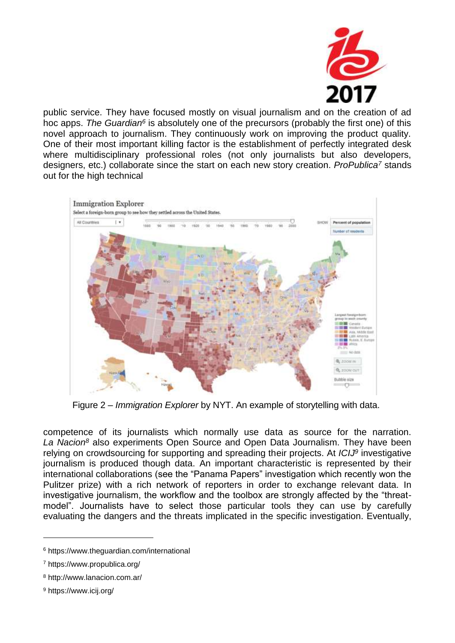

public service. They have focused mostly on visual journalism and on the creation of ad hoc apps. The Guardian<sup>6</sup> is absolutely one of the precursors (probably the first one) of this novel approach to journalism. They continuously work on improving the product quality. One of their most important killing factor is the establishment of perfectly integrated desk where multidisciplinary professional roles (not only journalists but also developers, designers, etc.) collaborate since the start on each new story creation. *ProPublica<sup>7</sup>* stands out for the high technical



Figure 2 – *Immigration Explorer* by NYT. An example of storytelling with data.

competence of its journalists which normally use data as source for the narration. *La Nacion<sup>8</sup>* also experiments Open Source and Open Data Journalism. They have been relying on crowdsourcing for supporting and spreading their projects. At *ICIJ<sup>9</sup>* investigative journalism is produced though data. An important characteristic is represented by their international collaborations (see the "Panama Papers" investigation which recently won the Pulitzer prize) with a rich network of reporters in order to exchange relevant data. In investigative journalism, the workflow and the toolbox are strongly affected by the "threatmodel". Journalists have to select those particular tools they can use by carefully evaluating the dangers and the threats implicated in the specific investigation. Eventually,

1

<sup>6</sup> https://www.theguardian.com/international

<sup>7</sup> https://www.propublica.org/

<sup>8</sup> http://www.lanacion.com.ar/

<sup>9</sup> https://www.icij.org/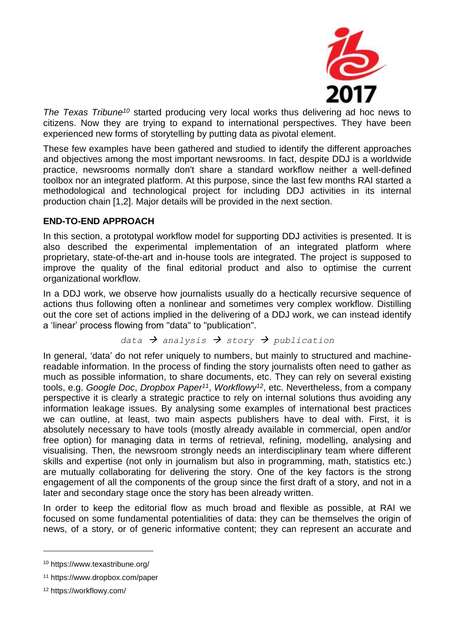

*The Texas Tribune<sup>10</sup>* started producing very local works thus delivering ad hoc news to citizens. Now they are trying to expand to international perspectives. They have been experienced new forms of storytelling by putting data as pivotal element.

These few examples have been gathered and studied to identify the different approaches and objectives among the most important newsrooms. In fact, despite DDJ is a worldwide practice, newsrooms normally don't share a standard workflow neither a well-defined toolbox nor an integrated platform. At this purpose, since the last few months RAI started a methodological and technological project for including DDJ activities in its internal production chain [1,2]. Major details will be provided in the next section.

## **END-TO-END APPROACH**

In this section, a prototypal workflow model for supporting DDJ activities is presented. It is also described the experimental implementation of an integrated platform where proprietary, state-of-the-art and in-house tools are integrated. The project is supposed to improve the quality of the final editorial product and also to optimise the current organizational workflow.

In a DDJ work, we observe how journalists usually do a hectically recursive sequence of actions thus following often a nonlinear and sometimes very complex workflow. Distilling out the core set of actions implied in the delivering of a DDJ work, we can instead identify a 'linear' process flowing from "data" to "publication".

$$
\text{data} \rightarrow \text{analysis} \rightarrow \text{story} \rightarrow \text{publication}
$$

In general, 'data' do not refer uniquely to numbers, but mainly to structured and machinereadable information. In the process of finding the story journalists often need to gather as much as possible information, to share documents, etc. They can rely on several existing tools, e.g. *Google Doc*, *Dropbox Paper<sup>11</sup>* , *Workflowy<sup>12</sup>*, etc. Nevertheless, from a company perspective it is clearly a strategic practice to rely on internal solutions thus avoiding any information leakage issues. By analysing some examples of international best practices we can outline, at least, two main aspects publishers have to deal with. First, it is absolutely necessary to have tools (mostly already available in commercial, open and/or free option) for managing data in terms of retrieval, refining, modelling, analysing and visualising. Then, the newsroom strongly needs an interdisciplinary team where different skills and expertise (not only in journalism but also in programming, math, statistics etc.) are mutually collaborating for delivering the story. One of the key factors is the strong engagement of all the components of the group since the first draft of a story, and not in a later and secondary stage once the story has been already written.

In order to keep the editorial flow as much broad and flexible as possible, at RAI we focused on some fundamental potentialities of data: they can be themselves the origin of news, of a story, or of generic informative content; they can represent an accurate and

1

<sup>10</sup> https://www.texastribune.org/

<sup>11</sup> https://www.dropbox.com/paper

<sup>12</sup> https://workflowy.com/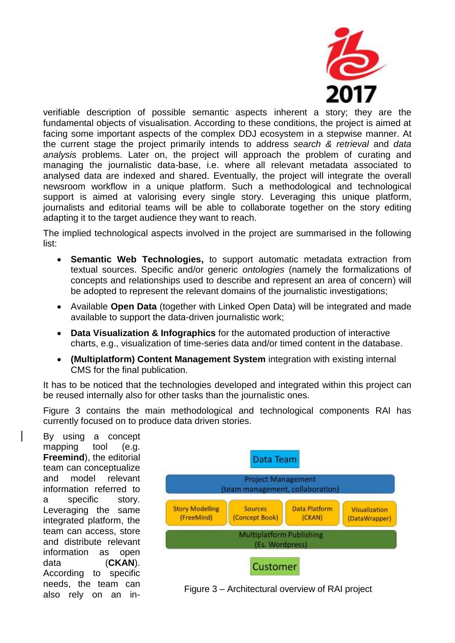

verifiable description of possible semantic aspects inherent a story; they are the fundamental objects of visualisation. According to these conditions, the project is aimed at facing some important aspects of the complex DDJ ecosystem in a stepwise manner. At the current stage the project primarily intends to address *search & retrieval* and *data analysis* problems. Later on, the project will approach the problem of curating and managing the journalistic data-base, i.e. where all relevant metadata associated to analysed data are indexed and shared. Eventually, the project will integrate the overall newsroom workflow in a unique platform. Such a methodological and technological support is aimed at valorising every single story. Leveraging this unique platform, journalists and editorial teams will be able to collaborate together on the story editing adapting it to the target audience they want to reach.

The implied technological aspects involved in the project are summarised in the following list:

- **Semantic Web Technologies,** to support automatic metadata extraction from textual sources. Specific and/or generic *ontologies* (namely the formalizations of concepts and relationships used to describe and represent an area of concern) will be adopted to represent the relevant domains of the journalistic investigations;
- Available **Open Data** (together with Linked Open Data) will be integrated and made available to support the data-driven journalistic work;
- **Data Visualization & Infographics** for the automated production of interactive charts, e.g., visualization of time-series data and/or timed content in the database.
- **(Multiplatform) Content Management System** integration with existing internal CMS for the final publication.

It has to be noticed that the technologies developed and integrated within this project can be reused internally also for other tasks than the journalistic ones.

Figure 3 contains the main methodological and technological components RAI has currently focused on to produce data driven stories.

By using a concept mapping tool (e.g. **Freemind**), the editorial team can conceptualize and model relevant information referred to a specific story. Leveraging the same integrated platform, the team can access, store and distribute relevant information as open data (**CKAN**). According to specific needs, the team can also rely on an in-



Figure 3 – Architectural overview of RAI project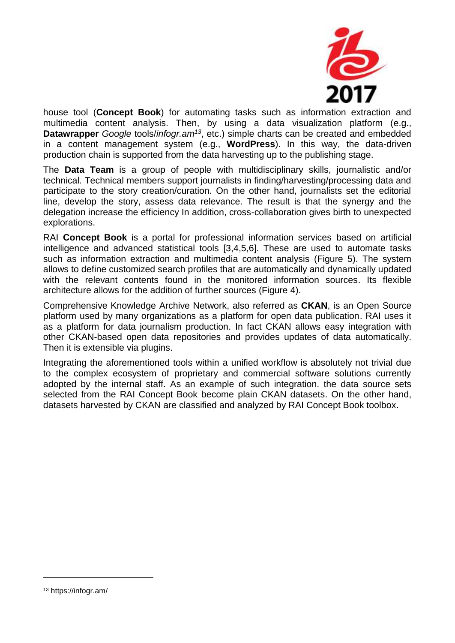

house tool (**Concept Book**) for automating tasks such as information extraction and multimedia content analysis. Then, by using a data visualization platform (e.g., **Datawrapper** *Google* tools/*infogr.am<sup>13</sup>*, etc.) simple charts can be created and embedded in a content management system (e.g., **WordPress**). In this way, the data-driven production chain is supported from the data harvesting up to the publishing stage.

The **Data Team** is a group of people with multidisciplinary skills, journalistic and/or technical. Technical members support journalists in finding/harvesting/processing data and participate to the story creation/curation. On the other hand, journalists set the editorial line, develop the story, assess data relevance. The result is that the synergy and the delegation increase the efficiency In addition, cross-collaboration gives birth to unexpected explorations.

RAI **Concept Book** is a portal for professional information services based on artificial intelligence and advanced statistical tools [3,4,5,6]. These are used to automate tasks such as information extraction and multimedia content analysis (Figure 5). The system allows to define customized search profiles that are automatically and dynamically updated with the relevant contents found in the monitored information sources. Its flexible architecture allows for the addition of further sources (Figure 4).

Comprehensive Knowledge Archive Network, also referred as **CKAN**, is an Open Source platform used by many organizations as a platform for open data publication. RAI uses it as a platform for data journalism production. In fact CKAN allows easy integration with other CKAN-based open data repositories and provides updates of data automatically. Then it is extensible via plugins.

Integrating the aforementioned tools within a unified workflow is absolutely not trivial due to the complex ecosystem of proprietary and commercial software solutions currently adopted by the internal staff. As an example of such integration. the data source sets selected from the RAI Concept Book become plain CKAN datasets. On the other hand, datasets harvested by CKAN are classified and analyzed by RAI Concept Book toolbox.

1

<sup>13</sup> https://infogr.am/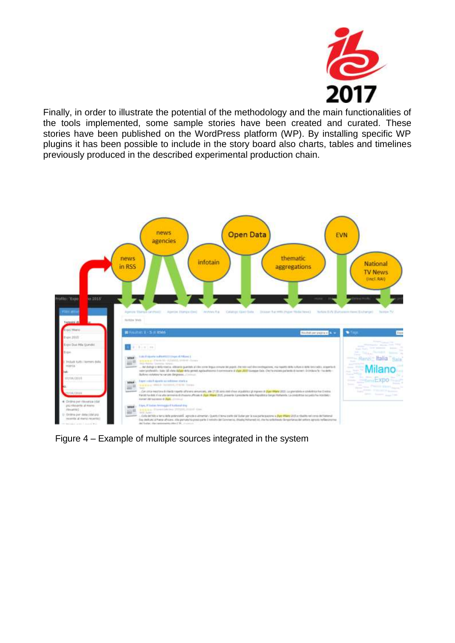

Finally, in order to illustrate the potential of the methodology and the main functionalities of the tools implemented, some sample stories have been created and curated. These stories have been published on the WordPress platform (WP). By installing specific WP plugins it has been possible to include in the story board also charts, tables and timelines previously produced in the described experimental production chain.



Figure 4 – Example of multiple sources integrated in the system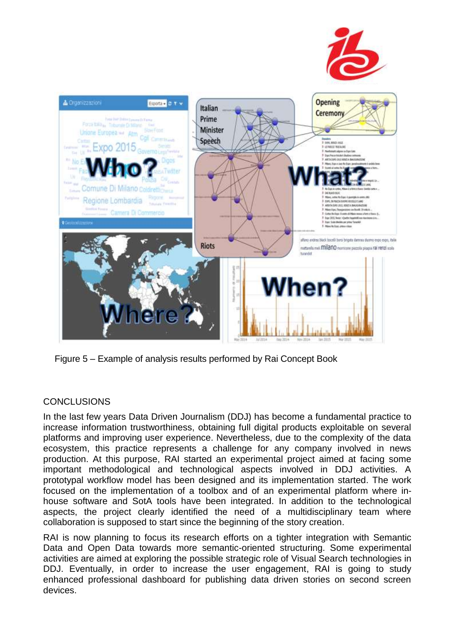



Figure 5 – Example of analysis results performed by Rai Concept Book

### **CONCLUSIONS**

In the last few years Data Driven Journalism (DDJ) has become a fundamental practice to increase information trustworthiness, obtaining full digital products exploitable on several platforms and improving user experience. Nevertheless, due to the complexity of the data ecosystem, this practice represents a challenge for any company involved in news production. At this purpose, RAI started an experimental project aimed at facing some important methodological and technological aspects involved in DDJ activities. A prototypal workflow model has been designed and its implementation started. The work focused on the implementation of a toolbox and of an experimental platform where inhouse software and SotA tools have been integrated. In addition to the technological aspects, the project clearly identified the need of a multidisciplinary team where collaboration is supposed to start since the beginning of the story creation.

RAI is now planning to focus its research efforts on a tighter integration with Semantic Data and Open Data towards more semantic-oriented structuring. Some experimental activities are aimed at exploring the possible strategic role of Visual Search technologies in DDJ. Eventually, in order to increase the user engagement, RAI is going to study enhanced professional dashboard for publishing data driven stories on second screen devices.